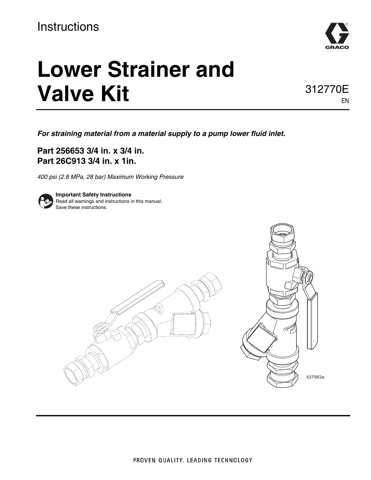# **Instructions**



# **Lower Strainer and Valve Kit**

312770E EN

*For straining material from a material supply to a pump lower fluid inlet.*

**Part 256653 3/4 in. x 3/4 in. Part 26C913 3/4 in. x 1in.**

*400 psi (2.8 MPa, 28 bar) Maximum Working Pressure*



**Important Safety Instructions** Read all warnings and instructions in this manual. Save these instructions.

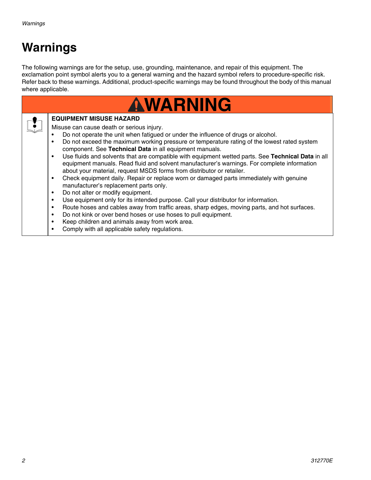# **Warnings**

The following warnings are for the setup, use, grounding, maintenance, and repair of this equipment. The exclamation point symbol alerts you to a general warning and the hazard symbol refers to procedure-specific risk. Refer back to these warnings. Additional, product-specific warnings may be found throughout the body of this manual where applicable.

| <b>AWARNING</b> |                                                                                                                                                                                                                                                                                                                                                                                                                                                                                                                                                                                                                                                                                                                                                                                                                                                                                                                                                                                                                                                                                                                                                                                                                                                                      |  |  |  |  |  |  |  |
|-----------------|----------------------------------------------------------------------------------------------------------------------------------------------------------------------------------------------------------------------------------------------------------------------------------------------------------------------------------------------------------------------------------------------------------------------------------------------------------------------------------------------------------------------------------------------------------------------------------------------------------------------------------------------------------------------------------------------------------------------------------------------------------------------------------------------------------------------------------------------------------------------------------------------------------------------------------------------------------------------------------------------------------------------------------------------------------------------------------------------------------------------------------------------------------------------------------------------------------------------------------------------------------------------|--|--|--|--|--|--|--|
|                 | <b>EQUIPMENT MISUSE HAZARD</b><br>Misuse can cause death or serious injury.<br>Do not operate the unit when fatigued or under the influence of drugs or alcohol.<br>Do not exceed the maximum working pressure or temperature rating of the lowest rated system<br>$\bullet$<br>component. See Technical Data in all equipment manuals.<br>Use fluids and solvents that are compatible with equipment wetted parts. See Technical Data in all<br>$\bullet$<br>equipment manuals. Read fluid and solvent manufacturer's warnings. For complete information<br>about your material, request MSDS forms from distributor or retailer.<br>Check equipment daily. Repair or replace worn or damaged parts immediately with genuine<br>$\bullet$<br>manufacturer's replacement parts only.<br>Do not alter or modify equipment.<br>$\bullet$<br>Use equipment only for its intended purpose. Call your distributor for information.<br>$\bullet$<br>Route hoses and cables away from traffic areas, sharp edges, moving parts, and hot surfaces.<br>$\bullet$<br>Do not kink or over bend hoses or use hoses to pull equipment.<br>$\bullet$<br>Keep children and animals away from work area.<br>$\bullet$<br>Comply with all applicable safety regulations.<br>$\bullet$ |  |  |  |  |  |  |  |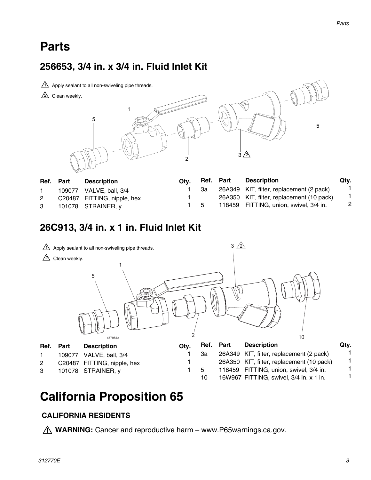# **Parts**

## **256653, 3/4 in. x 3/4 in. Fluid Inlet Kit**



| Ref. Part | <b>Description</b>          | Qtv. | Ref. Part | <b>Description</b>                        | Qty. |
|-----------|-----------------------------|------|-----------|-------------------------------------------|------|
|           | 109077 VALVE, ball, 3/4     |      | За        | 26A349 KIT, filter, replacement (2 pack)  |      |
| 2         | C20487 FITTING, nipple, hex |      |           | 26A350 KIT, filter, replacement (10 pack) |      |
| 3         | 101078 STRAINER, y          |      | - 5       | 118459 FITTING, union, swivel, 3/4 in.    |      |

### **26C913, 3/4 in. x 1 in. Fluid Inlet Kit**



# **California Proposition 65**

#### **CALIFORNIA RESIDENTS**

*A* WARNING: Cancer and reproductive harm – www.P65warnings.ca.gov.